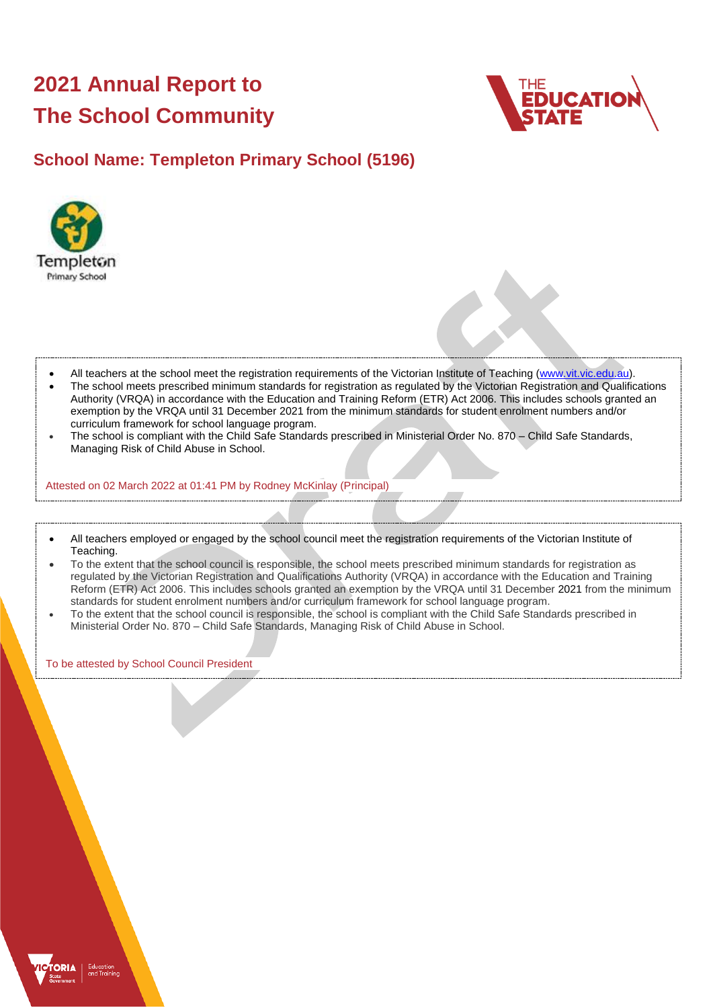# **2021 Annual Report to The School Community**



# **School Name: Templeton Primary School (5196)**



- All teachers at the school meet the registration requirements of the Victorian Institute of Teaching [\(www.vit.vic.edu.au\)](https://www.vit.vic.edu.au/).
- The school meets prescribed minimum standards for registration as regulated by the Victorian Registration and Qualifications Authority (VRQA) in accordance with the Education and Training Reform (ETR) Act 2006. This includes schools granted an exemption by the VRQA until 31 December 2021 from the minimum standards for student enrolment numbers and/or curriculum framework for school language program.
- The school is compliant with the Child Safe Standards prescribed in Ministerial Order No. 870 Child Safe Standards, Managing Risk of Child Abuse in School.

Attested on 02 March 2022 at 01:41 PM by Rodney McKinlay (Principal)

- All teachers employed or engaged by the school council meet the registration requirements of the Victorian Institute of Teaching.
- To the extent that the school council is responsible, the school meets prescribed minimum standards for registration as regulated by the Victorian Registration and Qualifications Authority (VRQA) in accordance with the Education and Training Reform (ETR) Act 2006. This includes schools granted an exemption by the VRQA until 31 December 2021 from the minimum standards for student enrolment numbers and/or curriculum framework for school language program.
- To the extent that the school council is responsible, the school is compliant with the Child Safe Standards prescribed in Ministerial Order No. 870 – Child Safe Standards, Managing Risk of Child Abuse in School.

To be attested by School Council President

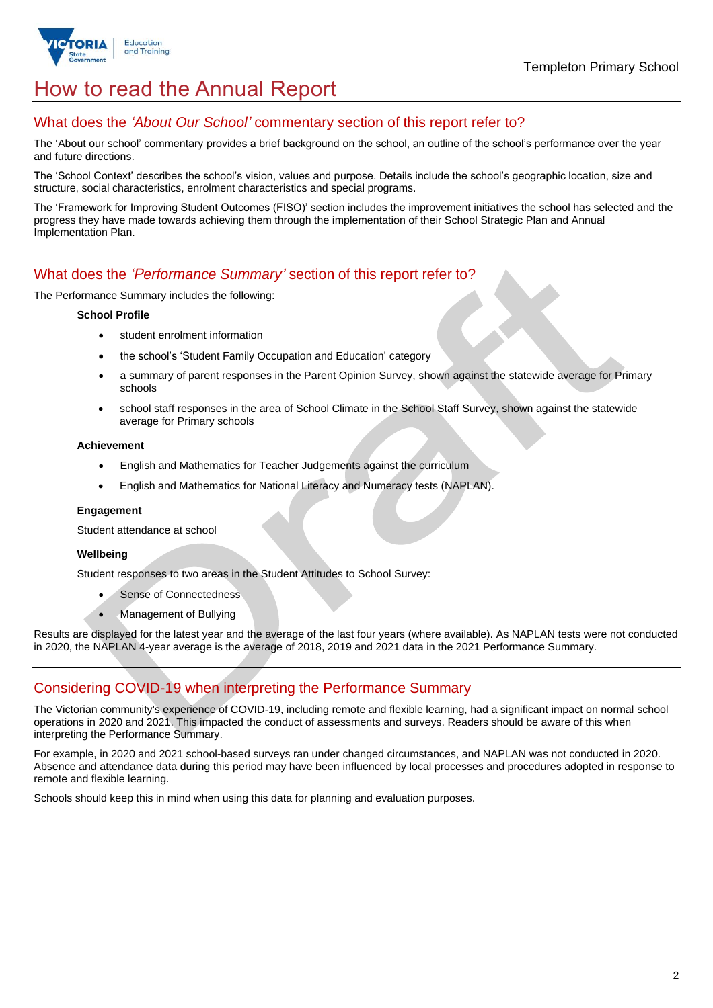

# How to read the Annual Report

## What does the *'About Our School'* commentary section of this report refer to?

The 'About our school' commentary provides a brief background on the school, an outline of the school's performance over the year and future directions.

The 'School Context' describes the school's vision, values and purpose. Details include the school's geographic location, size and structure, social characteristics, enrolment characteristics and special programs.

The 'Framework for Improving Student Outcomes (FISO)' section includes the improvement initiatives the school has selected and the progress they have made towards achieving them through the implementation of their School Strategic Plan and Annual Implementation Plan.

### What does the *'Performance Summary'* section of this report refer to?

The Performance Summary includes the following:

#### **School Profile**

- student enrolment information
- the school's 'Student Family Occupation and Education' category
- a summary of parent responses in the Parent Opinion Survey, shown against the statewide average for Primary schools
- school staff responses in the area of School Climate in the School Staff Survey, shown against the statewide average for Primary schools

#### **Achievement**

- English and Mathematics for Teacher Judgements against the curriculum
- English and Mathematics for National Literacy and Numeracy tests (NAPLAN).

#### **Engagement**

Student attendance at school

#### **Wellbeing**

Student responses to two areas in the Student Attitudes to School Survey:

- Sense of Connectedness
- Management of Bullying

Results are displayed for the latest year and the average of the last four years (where available). As NAPLAN tests were not conducted in 2020, the NAPLAN 4-year average is the average of 2018, 2019 and 2021 data in the 2021 Performance Summary.

## Considering COVID-19 when interpreting the Performance Summary

The Victorian community's experience of COVID-19, including remote and flexible learning, had a significant impact on normal school operations in 2020 and 2021. This impacted the conduct of assessments and surveys. Readers should be aware of this when interpreting the Performance Summary.

For example, in 2020 and 2021 school-based surveys ran under changed circumstances, and NAPLAN was not conducted in 2020. Absence and attendance data during this period may have been influenced by local processes and procedures adopted in response to remote and flexible learning.

Schools should keep this in mind when using this data for planning and evaluation purposes.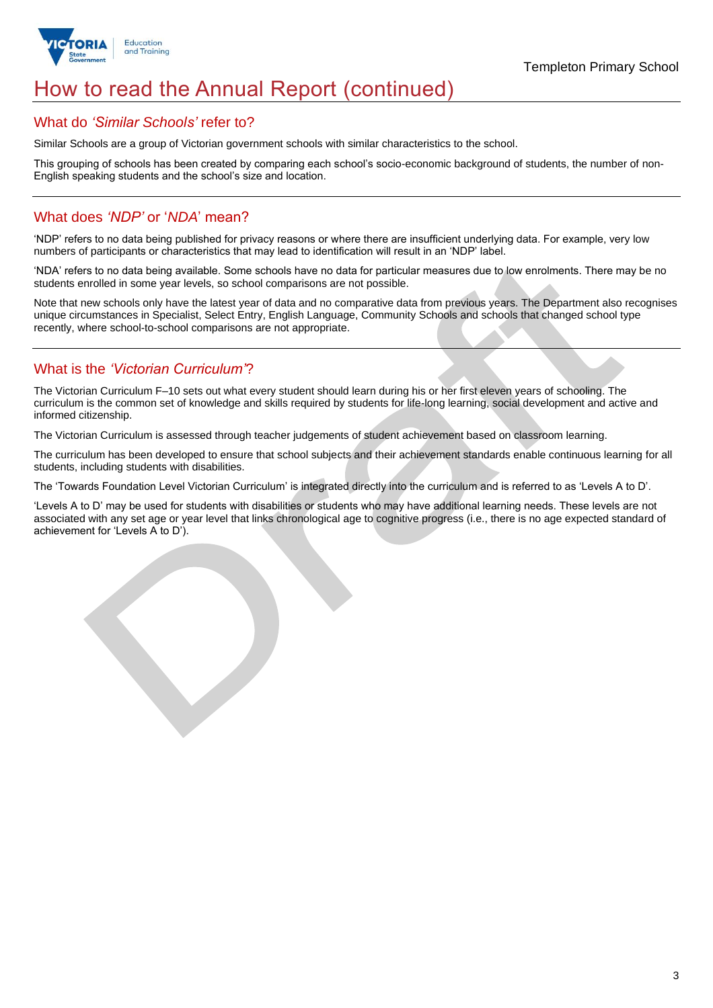

# How to read the Annual Report (continued)

### What do *'Similar Schools'* refer to?

Similar Schools are a group of Victorian government schools with similar characteristics to the school.

This grouping of schools has been created by comparing each school's socio-economic background of students, the number of non-English speaking students and the school's size and location.

## What does *'NDP'* or '*NDA*' mean?

'NDP' refers to no data being published for privacy reasons or where there are insufficient underlying data. For example, very low numbers of participants or characteristics that may lead to identification will result in an 'NDP' label.

'NDA' refers to no data being available. Some schools have no data for particular measures due to low enrolments. There may be no students enrolled in some year levels, so school comparisons are not possible.

Note that new schools only have the latest year of data and no comparative data from previous years. The Department also recognises unique circumstances in Specialist, Select Entry, English Language, Community Schools and schools that changed school type recently, where school-to-school comparisons are not appropriate.

## What is the *'Victorian Curriculum'*?

The Victorian Curriculum F–10 sets out what every student should learn during his or her first eleven years of schooling. The curriculum is the common set of knowledge and skills required by students for life-long learning, social development and active and informed citizenship.

The Victorian Curriculum is assessed through teacher judgements of student achievement based on classroom learning.

The curriculum has been developed to ensure that school subjects and their achievement standards enable continuous learning for all students, including students with disabilities.

The 'Towards Foundation Level Victorian Curriculum' is integrated directly into the curriculum and is referred to as 'Levels A to D'.

'Levels A to D' may be used for students with disabilities or students who may have additional learning needs. These levels are not associated with any set age or year level that links chronological age to cognitive progress (i.e., there is no age expected standard of achievement for 'Levels A to D').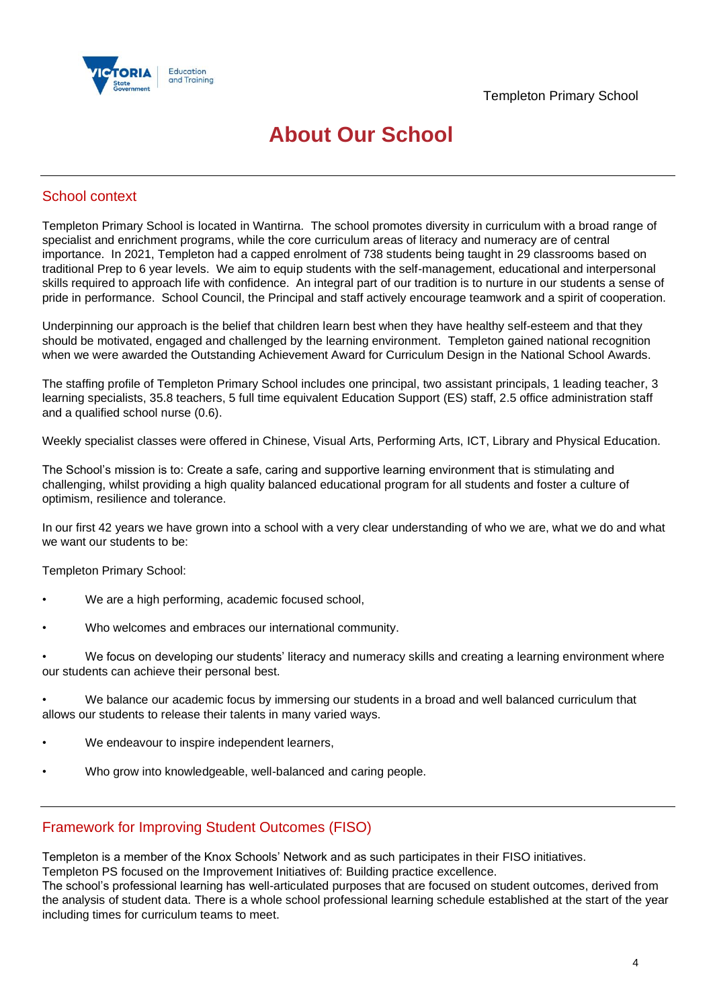

# **About Our School**

## School context

Templeton Primary School is located in Wantirna. The school promotes diversity in curriculum with a broad range of specialist and enrichment programs, while the core curriculum areas of literacy and numeracy are of central importance. In 2021, Templeton had a capped enrolment of 738 students being taught in 29 classrooms based on traditional Prep to 6 year levels. We aim to equip students with the self-management, educational and interpersonal skills required to approach life with confidence. An integral part of our tradition is to nurture in our students a sense of pride in performance. School Council, the Principal and staff actively encourage teamwork and a spirit of cooperation.

Underpinning our approach is the belief that children learn best when they have healthy self-esteem and that they should be motivated, engaged and challenged by the learning environment. Templeton gained national recognition when we were awarded the Outstanding Achievement Award for Curriculum Design in the National School Awards.

The staffing profile of Templeton Primary School includes one principal, two assistant principals, 1 leading teacher, 3 learning specialists, 35.8 teachers, 5 full time equivalent Education Support (ES) staff, 2.5 office administration staff and a qualified school nurse (0.6).

Weekly specialist classes were offered in Chinese, Visual Arts, Performing Arts, ICT, Library and Physical Education.

The School's mission is to: Create a safe, caring and supportive learning environment that is stimulating and challenging, whilst providing a high quality balanced educational program for all students and foster a culture of optimism, resilience and tolerance.

In our first 42 years we have grown into a school with a very clear understanding of who we are, what we do and what we want our students to be:

Templeton Primary School:

- We are a high performing, academic focused school,
- Who welcomes and embraces our international community.

• We focus on developing our students' literacy and numeracy skills and creating a learning environment where our students can achieve their personal best.

• We balance our academic focus by immersing our students in a broad and well balanced curriculum that allows our students to release their talents in many varied ways.

- We endeavour to inspire independent learners,
- Who grow into knowledgeable, well-balanced and caring people.

## Framework for Improving Student Outcomes (FISO)

Templeton is a member of the Knox Schools' Network and as such participates in their FISO initiatives.

Templeton PS focused on the Improvement Initiatives of: Building practice excellence.

The school's professional learning has well-articulated purposes that are focused on student outcomes, derived from the analysis of student data. There is a whole school professional learning schedule established at the start of the year including times for curriculum teams to meet.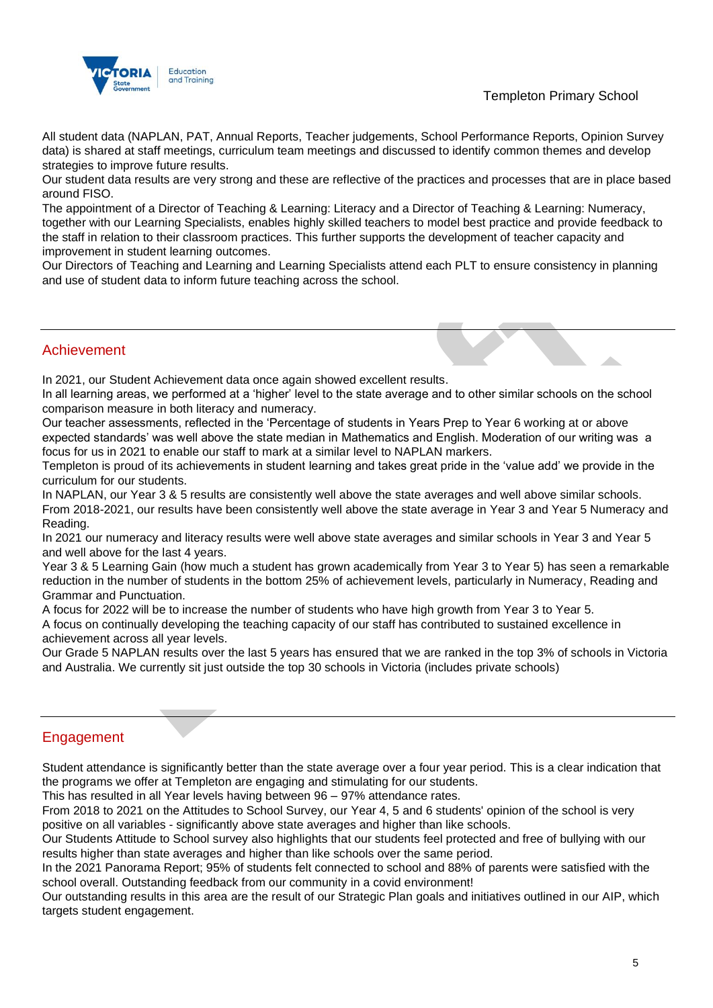## Templeton Primary School



All student data (NAPLAN, PAT, Annual Reports, Teacher judgements, School Performance Reports, Opinion Survey data) is shared at staff meetings, curriculum team meetings and discussed to identify common themes and develop strategies to improve future results.

Our student data results are very strong and these are reflective of the practices and processes that are in place based around FISO.

The appointment of a Director of Teaching & Learning: Literacy and a Director of Teaching & Learning: Numeracy, together with our Learning Specialists, enables highly skilled teachers to model best practice and provide feedback to the staff in relation to their classroom practices. This further supports the development of teacher capacity and improvement in student learning outcomes.

Our Directors of Teaching and Learning and Learning Specialists attend each PLT to ensure consistency in planning and use of student data to inform future teaching across the school.

### Achievement

In 2021, our Student Achievement data once again showed excellent results.

In all learning areas, we performed at a 'higher' level to the state average and to other similar schools on the school comparison measure in both literacy and numeracy.

Our teacher assessments, reflected in the 'Percentage of students in Years Prep to Year 6 working at or above expected standards' was well above the state median in Mathematics and English. Moderation of our writing was a focus for us in 2021 to enable our staff to mark at a similar level to NAPLAN markers.

Templeton is proud of its achievements in student learning and takes great pride in the 'value add' we provide in the curriculum for our students.

In NAPLAN, our Year 3 & 5 results are consistently well above the state averages and well above similar schools. From 2018-2021, our results have been consistently well above the state average in Year 3 and Year 5 Numeracy and Reading.

In 2021 our numeracy and literacy results were well above state averages and similar schools in Year 3 and Year 5 and well above for the last 4 years.

Year 3 & 5 Learning Gain (how much a student has grown academically from Year 3 to Year 5) has seen a remarkable reduction in the number of students in the bottom 25% of achievement levels, particularly in Numeracy, Reading and Grammar and Punctuation.

A focus for 2022 will be to increase the number of students who have high growth from Year 3 to Year 5.

A focus on continually developing the teaching capacity of our staff has contributed to sustained excellence in achievement across all year levels.

Our Grade 5 NAPLAN results over the last 5 years has ensured that we are ranked in the top 3% of schools in Victoria and Australia. We currently sit just outside the top 30 schools in Victoria (includes private schools)

# **Engagement**

Student attendance is significantly better than the state average over a four year period. This is a clear indication that the programs we offer at Templeton are engaging and stimulating for our students.

This has resulted in all Year levels having between 96 – 97% attendance rates.

From 2018 to 2021 on the Attitudes to School Survey, our Year 4, 5 and 6 students' opinion of the school is very positive on all variables - significantly above state averages and higher than like schools.

Our Students Attitude to School survey also highlights that our students feel protected and free of bullying with our results higher than state averages and higher than like schools over the same period.

In the 2021 Panorama Report; 95% of students felt connected to school and 88% of parents were satisfied with the school overall. Outstanding feedback from our community in a covid environment!

Our outstanding results in this area are the result of our Strategic Plan goals and initiatives outlined in our AIP, which targets student engagement.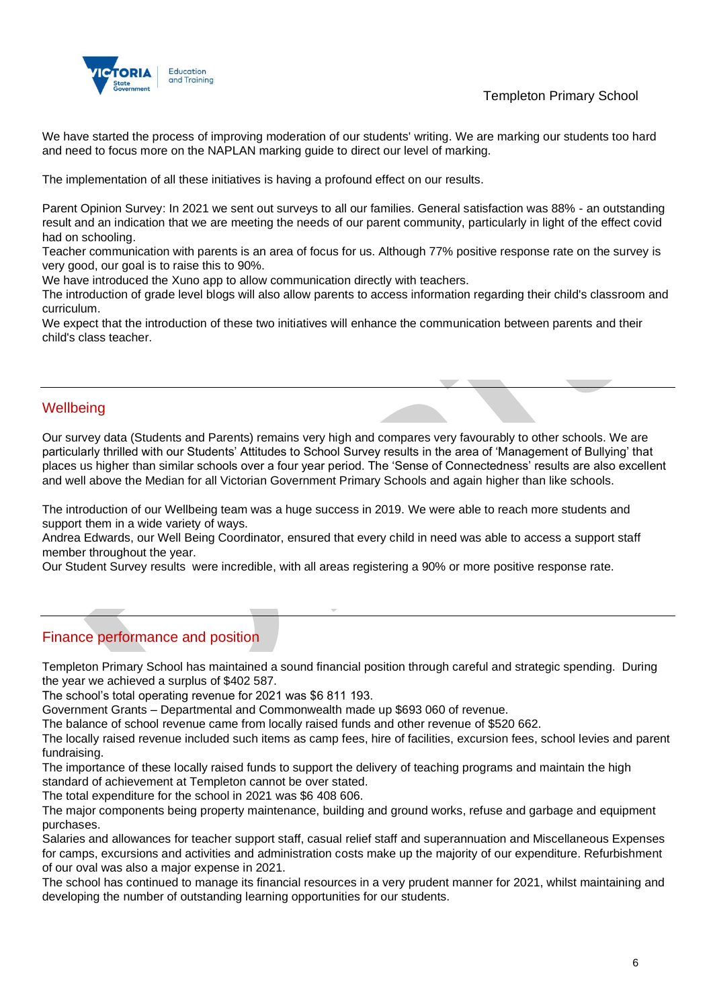## Templeton Primary School



We have started the process of improving moderation of our students' writing. We are marking our students too hard and need to focus more on the NAPLAN marking guide to direct our level of marking.

The implementation of all these initiatives is having a profound effect on our results.

Parent Opinion Survey: In 2021 we sent out surveys to all our families. General satisfaction was 88% - an outstanding result and an indication that we are meeting the needs of our parent community, particularly in light of the effect covid had on schooling.

Teacher communication with parents is an area of focus for us. Although 77% positive response rate on the survey is very good, our goal is to raise this to 90%.

We have introduced the Xuno app to allow communication directly with teachers.

The introduction of grade level blogs will also allow parents to access information regarding their child's classroom and curriculum.

We expect that the introduction of these two initiatives will enhance the communication between parents and their child's class teacher.

## **Wellbeing**

Our survey data (Students and Parents) remains very high and compares very favourably to other schools. We are particularly thrilled with our Students' Attitudes to School Survey results in the area of 'Management of Bullying' that places us higher than similar schools over a four year period. The 'Sense of Connectedness' results are also excellent and well above the Median for all Victorian Government Primary Schools and again higher than like schools.

The introduction of our Wellbeing team was a huge success in 2019. We were able to reach more students and support them in a wide variety of ways.

Andrea Edwards, our Well Being Coordinator, ensured that every child in need was able to access a support staff member throughout the year.

Our Student Survey results were incredible, with all areas registering a 90% or more positive response rate.

# Finance performance and position

Templeton Primary School has maintained a sound financial position through careful and strategic spending. During the year we achieved a surplus of \$402 587.

The school's total operating revenue for 2021 was \$6 811 193.

Government Grants – Departmental and Commonwealth made up \$693 060 of revenue.

The balance of school revenue came from locally raised funds and other revenue of \$520 662.

The locally raised revenue included such items as camp fees, hire of facilities, excursion fees, school levies and parent fundraising.

The importance of these locally raised funds to support the delivery of teaching programs and maintain the high standard of achievement at Templeton cannot be over stated.

The total expenditure for the school in 2021 was \$6 408 606.

The major components being property maintenance, building and ground works, refuse and garbage and equipment purchases.

Salaries and allowances for teacher support staff, casual relief staff and superannuation and Miscellaneous Expenses for camps, excursions and activities and administration costs make up the majority of our expenditure. Refurbishment of our oval was also a major expense in 2021.

The school has continued to manage its financial resources in a very prudent manner for 2021, whilst maintaining and developing the number of outstanding learning opportunities for our students.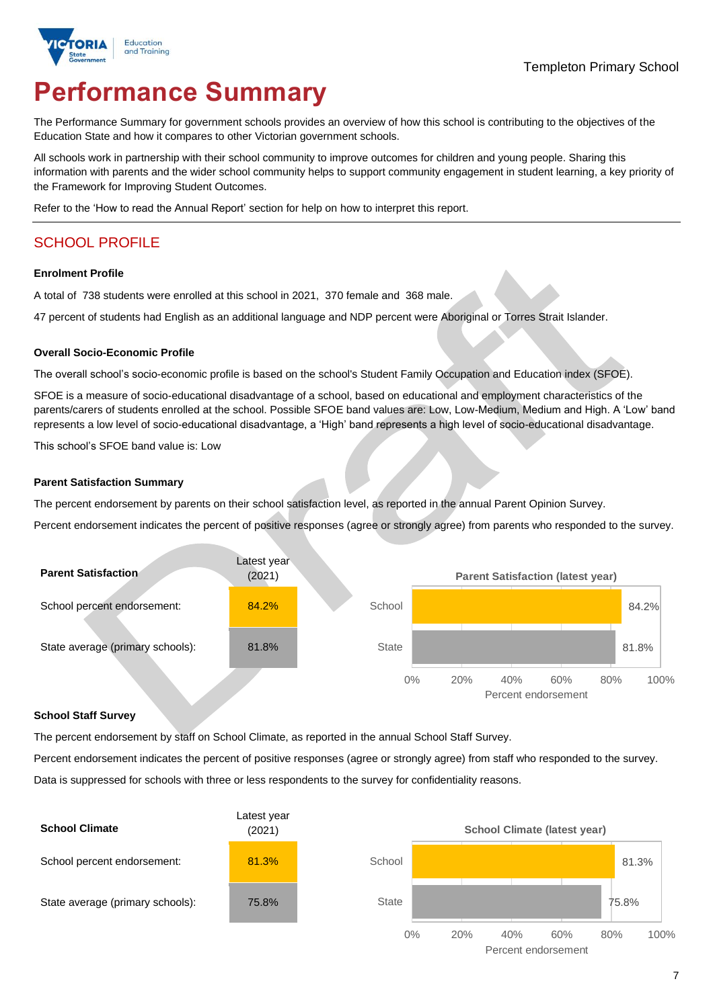

# **Performance Summary**

The Performance Summary for government schools provides an overview of how this school is contributing to the objectives of the Education State and how it compares to other Victorian government schools.

All schools work in partnership with their school community to improve outcomes for children and young people. Sharing this information with parents and the wider school community helps to support community engagement in student learning, a key priority of the Framework for Improving Student Outcomes.

Refer to the 'How to read the Annual Report' section for help on how to interpret this report.

# SCHOOL PROFILE

#### **Enrolment Profile**

A total of 738 students were enrolled at this school in 2021, 370 female and 368 male.

47 percent of students had English as an additional language and NDP percent were Aboriginal or Torres Strait Islander.

#### **Overall Socio-Economic Profile**

The overall school's socio-economic profile is based on the school's Student Family Occupation and Education index (SFOE).

SFOE is a measure of socio-educational disadvantage of a school, based on educational and employment characteristics of the parents/carers of students enrolled at the school. Possible SFOE band values are: Low, Low-Medium, Medium and High. A 'Low' band represents a low level of socio-educational disadvantage, a 'High' band represents a high level of socio-educational disadvantage.

This school's SFOE band value is: Low

#### **Parent Satisfaction Summary**

The percent endorsement by parents on their school satisfaction level, as reported in the annual Parent Opinion Survey.

Percent endorsement indicates the percent of positive responses (agree or strongly agree) from parents who responded to the survey.

| <b>Parent Satisfaction</b>       | Latest year<br>(2021) |              |     | <b>Parent Satisfaction (latest year)</b> |                            |     |       |
|----------------------------------|-----------------------|--------------|-----|------------------------------------------|----------------------------|-----|-------|
| School percent endorsement:      | 84.2%                 | School       |     |                                          |                            |     | 84.2% |
| State average (primary schools): | 81.8%                 | <b>State</b> |     |                                          |                            |     | 81.8% |
|                                  |                       | $0\%$        | 20% | 40%                                      | 60%<br>Percent endorsement | 80% | 100%  |

#### **School Staff Survey**

The percent endorsement by staff on School Climate, as reported in the annual School Staff Survey.

Percent endorsement indicates the percent of positive responses (agree or strongly agree) from staff who responded to the survey.

Data is suppressed for schools with three or less respondents to the survey for confidentiality reasons.

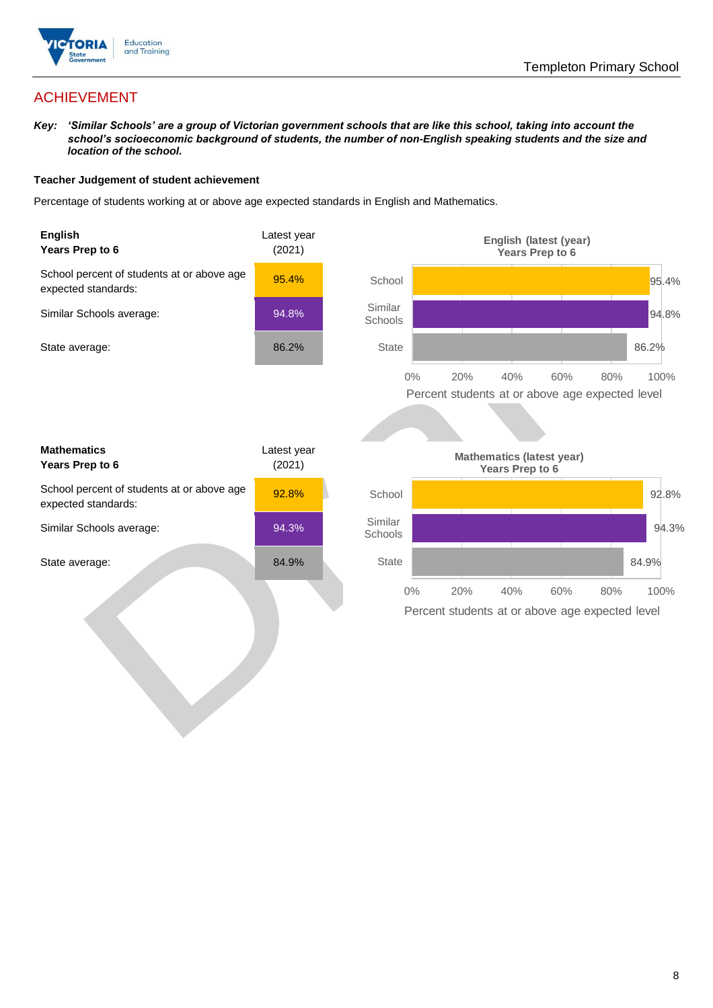

# ACHIEVEMENT

*Key: 'Similar Schools' are a group of Victorian government schools that are like this school, taking into account the school's socioeconomic background of students, the number of non-English speaking students and the size and location of the school.*

#### **Teacher Judgement of student achievement**

Percentage of students working at or above age expected standards in English and Mathematics.

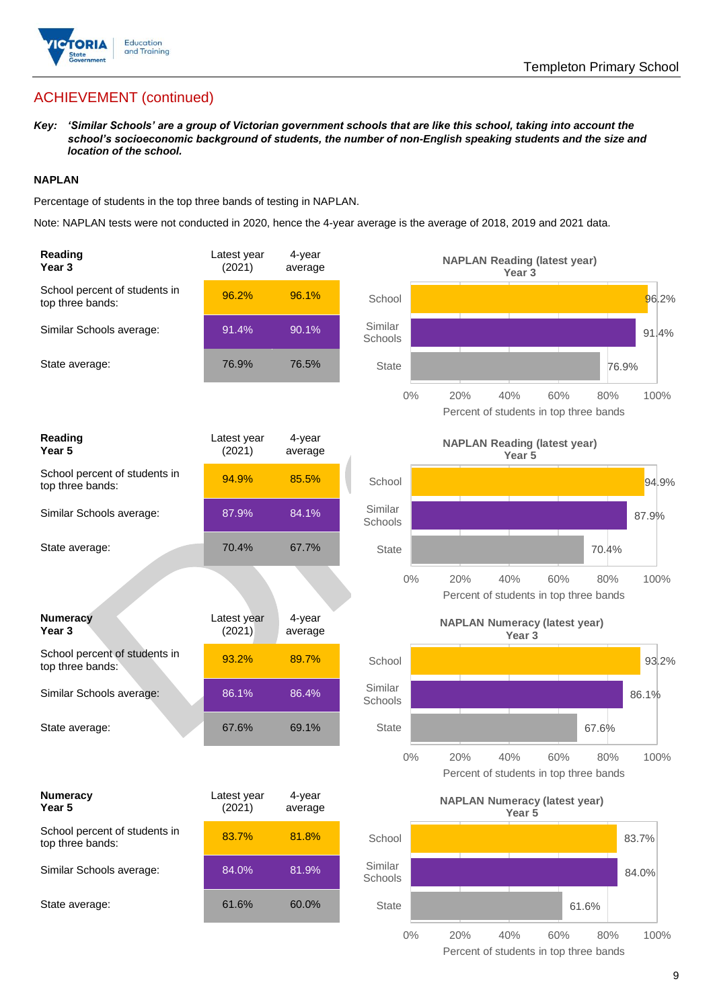

# ACHIEVEMENT (continued)

*Key: 'Similar Schools' are a group of Victorian government schools that are like this school, taking into account the school's socioeconomic background of students, the number of non-English speaking students and the size and location of the school.*

### **NAPLAN**

Percentage of students in the top three bands of testing in NAPLAN.

Note: NAPLAN tests were not conducted in 2020, hence the 4-year average is the average of 2018, 2019 and 2021 data.

| Reading<br>Year 3                                 | Latest year<br>(2021) | 4-year<br>average |                    | <b>NAPLAN Reading (latest year)</b><br>Year <sub>3</sub>                   |
|---------------------------------------------------|-----------------------|-------------------|--------------------|----------------------------------------------------------------------------|
| School percent of students in<br>top three bands: | 96.2%                 | 96.1%             | School             | 96.2%                                                                      |
| Similar Schools average:                          | 91.4%                 | 90.1%             | Similar<br>Schools | 91.4%                                                                      |
| State average:                                    | 76.9%                 | 76.5%             | State              | 76.9%                                                                      |
|                                                   |                       |                   | $0\%$              | 100%<br>20%<br>40%<br>60%<br>80%<br>Percent of students in top three bands |
| Reading<br>Year 5                                 | Latest year<br>(2021) | 4-year<br>average |                    | <b>NAPLAN Reading (latest year)</b><br>Year 5                              |
| School percent of students in<br>top three bands: | 94.9%                 | 85.5%             | School             | 94.9%                                                                      |
| Similar Schools average:                          | 87.9%                 | 84.1%             | Similar<br>Schools | 87.9%                                                                      |
| State average:                                    | 70.4%                 | 67.7%             | <b>State</b>       | 70.4%                                                                      |
|                                                   |                       |                   | $0\%$              | 20%<br>40%<br>60%<br>100%<br>80%<br>Percent of students in top three bands |
| <b>Numeracy</b><br>Year <sub>3</sub>              | Latest year<br>(2021) | 4-year<br>average |                    | <b>NAPLAN Numeracy (latest year)</b><br>Year <sub>3</sub>                  |
| School percent of students in<br>top three bands: | 93.2%                 | 89.7%             | School             | 93.2%                                                                      |
| Similar Schools average:                          | 86.1%                 | 86.4%             | Similar<br>Schools | 86.1%                                                                      |
| State average:                                    | 67.6%                 | 69.1%             | <b>State</b>       | 67.6%                                                                      |
|                                                   |                       |                   | $0\%$              | 40%<br>100%<br>20%<br>60%<br>80%<br>Percent of students in top three bands |
| <b>Numeracy</b><br>Year 5                         | Latest year<br>(2021) | 4-year<br>average |                    | <b>NAPLAN Numeracy (latest year)</b><br>Year 5                             |
| School percent of students in<br>top three bands: | 83.7%                 | 81.8%             | School             | 83.7%                                                                      |
| Similar Schools average:                          | 84.0%                 | 81.9%             | Similar<br>Schools | 84.0%                                                                      |
| State average:                                    | 61.6%                 | 60.0%             | <b>State</b>       | 61.6%                                                                      |
|                                                   |                       |                   | $\cap$             | 200/<br>10001<br>100/<br>000                                               |

0% 20% 40% 60% 80% 100% Percent of students in top three bands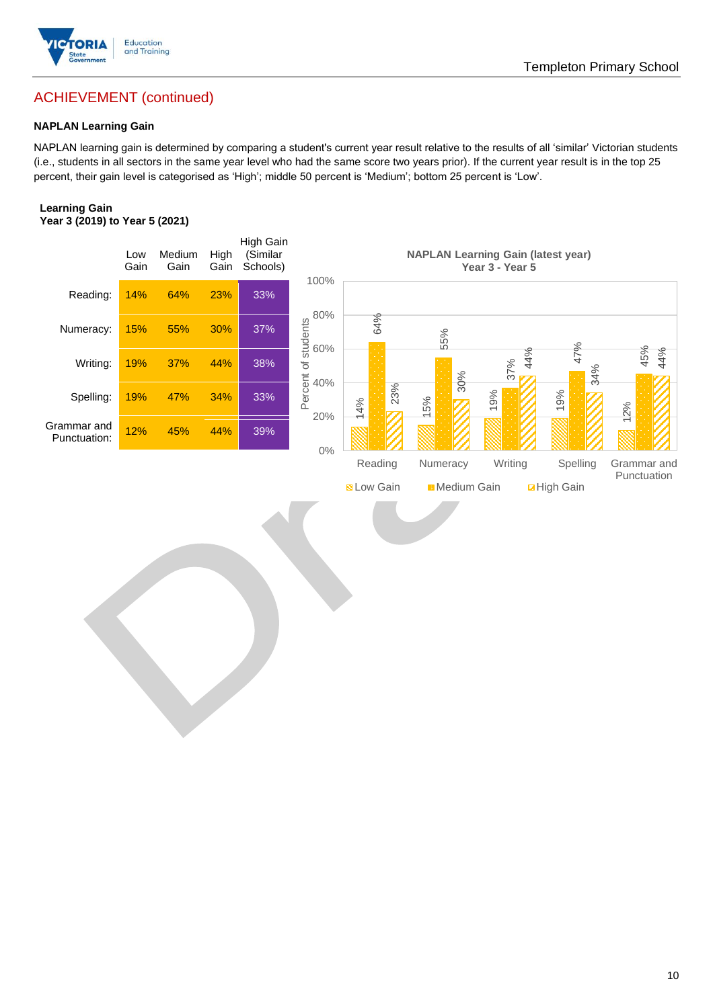

# Templeton Primary School

# ACHIEVEMENT (continued)

### **NAPLAN Learning Gain**

NAPLAN learning gain is determined by comparing a student's current year result relative to the results of all 'similar' Victorian students (i.e., students in all sectors in the same year level who had the same score two years prior). If the current year result is in the top 25 percent, their gain level is categorised as 'High'; middle 50 percent is 'Medium'; bottom 25 percent is 'Low'.

#### **Learning Gain Year 3 (2019) to Year 5 (2021)**

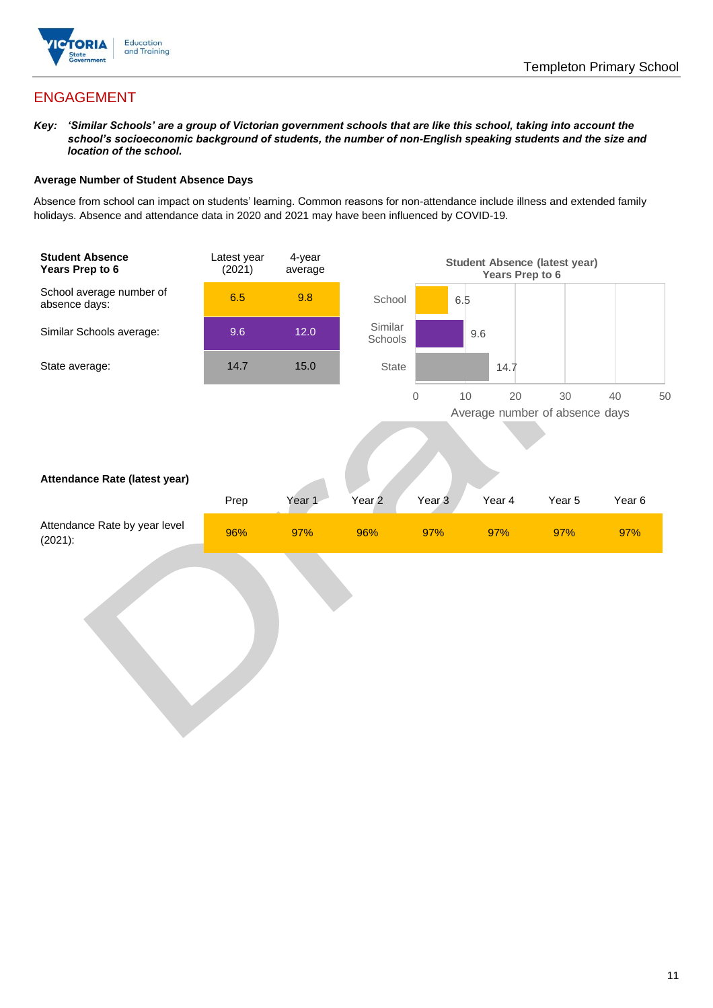

# ENGAGEMENT

*Key: 'Similar Schools' are a group of Victorian government schools that are like this school, taking into account the school's socioeconomic background of students, the number of non-English speaking students and the size and location of the school.*

#### **Average Number of Student Absence Days**

Absence from school can impact on students' learning. Common reasons for non-attendance include illness and extended family holidays. Absence and attendance data in 2020 and 2021 may have been influenced by COVID-19.

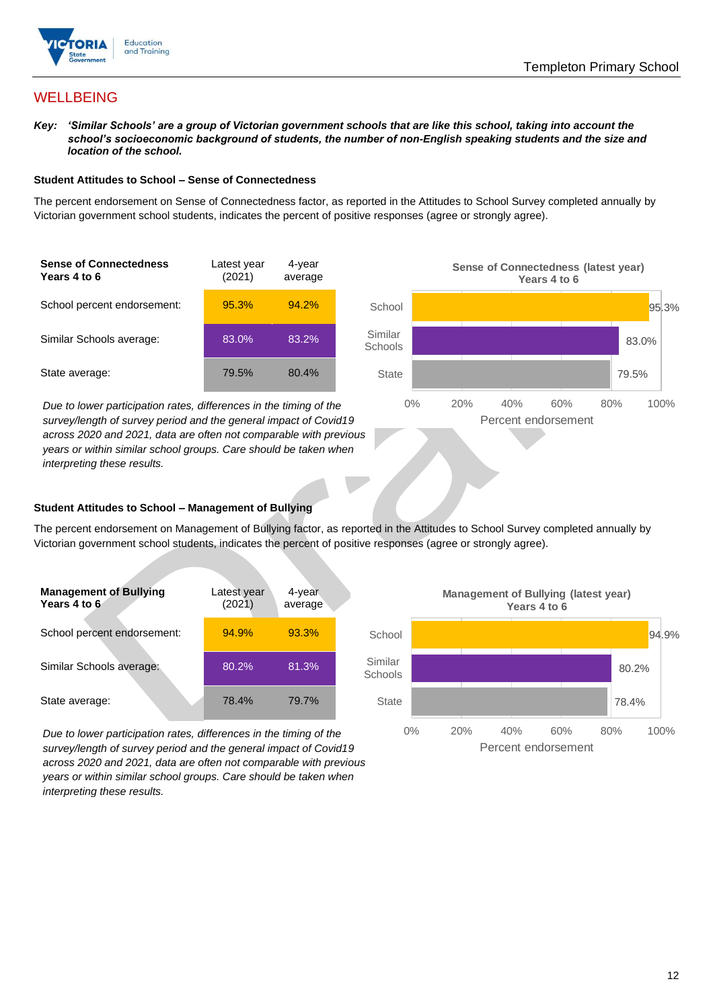

## **WELLBEING**

*Key: 'Similar Schools' are a group of Victorian government schools that are like this school, taking into account the school's socioeconomic background of students, the number of non-English speaking students and the size and location of the school.*

#### **Student Attitudes to School – Sense of Connectedness**

The percent endorsement on Sense of Connectedness factor, as reported in the Attitudes to School Survey completed annually by Victorian government school students, indicates the percent of positive responses (agree or strongly agree).

| <b>Sense of Connectedness</b><br>Years 4 to 6 | Latest year<br>(2021) | 4-year<br>average |  |
|-----------------------------------------------|-----------------------|-------------------|--|
| School percent endorsement:                   | 95.3%                 | 94.2%             |  |
| Similar Schools average:                      | 83.0%                 | 83.2%             |  |
| State average:                                | 79.5%                 | 80.4%             |  |

*Due to lower participation rates, differences in the timing of the survey/length of survey period and the general impact of Covid19 across 2020 and 2021, data are often not comparable with previous years or within similar school groups. Care should be taken when interpreting these results.*



### **Student Attitudes to School – Management of Bullying**

The percent endorsement on Management of Bullying factor, as reported in the Attitudes to School Survey completed annually by Victorian government school students, indicates the percent of positive responses (agree or strongly agree).

| <b>Management of Bullying</b><br>Years 4 to 6 | Latest year<br>(2021) | 4-year<br>average |  |
|-----------------------------------------------|-----------------------|-------------------|--|
| School percent endorsement:                   | 94.9%                 | 93.3%             |  |
| Similar Schools average:                      | 80.2%                 | 81.3%             |  |
| State average:                                | 78.4%                 | 79.7%             |  |

*Due to lower participation rates, differences in the timing of the survey/length of survey period and the general impact of Covid19 across 2020 and 2021, data are often not comparable with previous years or within similar school groups. Care should be taken when interpreting these results.*

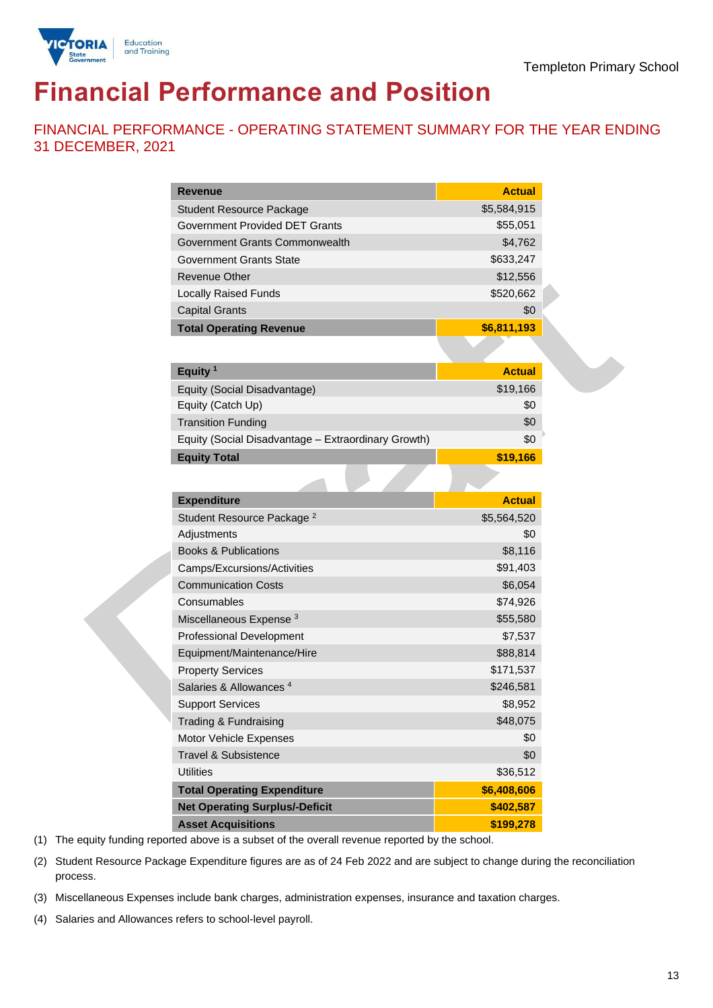

# **Financial Performance and Position**

FINANCIAL PERFORMANCE - OPERATING STATEMENT SUMMARY FOR THE YEAR ENDING 31 DECEMBER, 2021

| <b>Revenue</b>                                      | <b>Actual</b> |
|-----------------------------------------------------|---------------|
| <b>Student Resource Package</b>                     | \$5,584,915   |
| <b>Government Provided DET Grants</b>               | \$55,051      |
| Government Grants Commonwealth                      | \$4,762       |
| Government Grants State                             | \$633,247     |
| <b>Revenue Other</b>                                | \$12,556      |
| <b>Locally Raised Funds</b>                         | \$520,662     |
| <b>Capital Grants</b>                               | \$0           |
| <b>Total Operating Revenue</b>                      | \$6,811,193   |
|                                                     |               |
| Equity <sup>1</sup>                                 | <b>Actual</b> |
| Equity (Social Disadvantage)                        | \$19,166      |
| Equity (Catch Up)                                   | \$0           |
| <b>Transition Funding</b>                           | \$0           |
| Equity (Social Disadvantage - Extraordinary Growth) | \$0           |
| <b>Equity Total</b>                                 | \$19,166      |
|                                                     |               |
| <b>Expenditure</b>                                  | <b>Actual</b> |
| Student Resource Package <sup>2</sup>               | \$5,564,520   |
| Adjustments                                         | \$0           |
| <b>Books &amp; Publications</b>                     | \$8,116       |
| Camps/Excursions/Activities                         | \$91,403      |
| <b>Communication Costs</b>                          | \$6,054       |
| Consumables                                         | \$74,926      |
| Miscellaneous Expense <sup>3</sup>                  | \$55,580      |
| Professional Development                            | \$7,537       |
| Equipment/Maintenance/Hire                          | \$88,814      |
| <b>Property Services</b>                            | \$171,537     |
| Salaries & Allowances <sup>4</sup>                  | \$246,581     |
| <b>Support Services</b>                             | \$8,952       |
| Trading & Fundraising                               | \$48,075      |
| Motor Vehicle Expenses                              | \$0           |
| <b>Travel &amp; Subsistence</b>                     | \$0           |
| <b>Utilities</b>                                    | \$36,512      |
| <b>Total Operating Expenditure</b>                  | \$6,408,606   |
| <b>Net Operating Surplus/-Deficit</b>               | \$402,587     |
| <b>Asset Acquisitions</b>                           | \$199,278     |
|                                                     |               |

(1) The equity funding reported above is a subset of the overall revenue reported by the school.

(2) Student Resource Package Expenditure figures are as of 24 Feb 2022 and are subject to change during the reconciliation process.

(3) Miscellaneous Expenses include bank charges, administration expenses, insurance and taxation charges.

(4) Salaries and Allowances refers to school-level payroll.